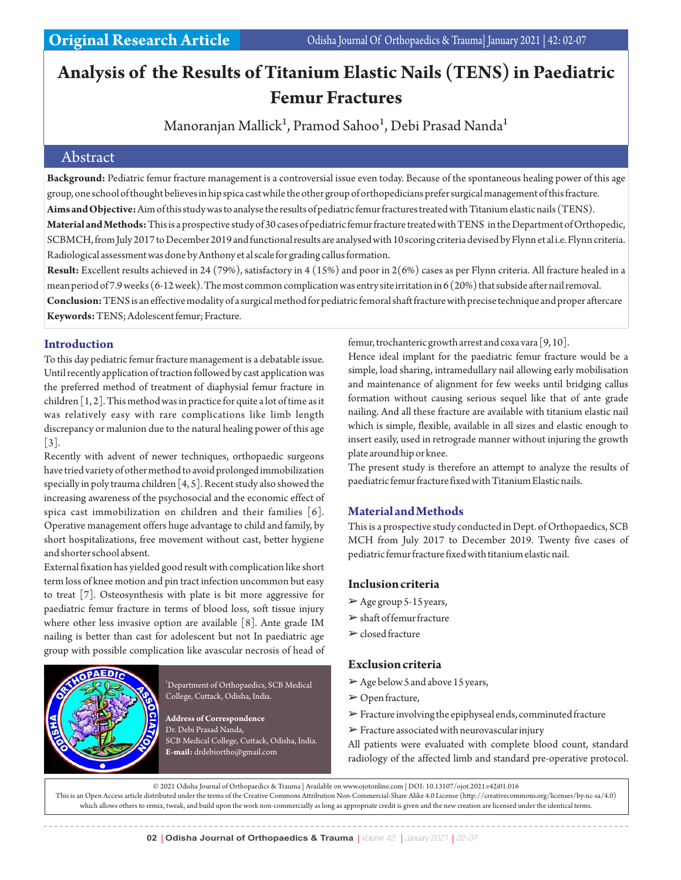# **Analysis of the Results of Titanium Elastic Nails (TENS) in Paediatric Femur Fractures**

Manoranjan Mallick<sup>1</sup>, Pramod Sahoo<sup>1</sup>, Debi Prasad Nanda<sup>1</sup>

## Abstract

**Background:** Pediatric femur fracture management is a controversial issue even today. Because of the spontaneous healing power of this age group, one school of thought believes in hip spica cast while the other group of orthopedicians prefer surgical management of this fracture.

**Aims and Objective:**Aim of this study was to analyse the results of pediatric femur fractures treated with Titanium elastic nails (TENS).

**Material and Methods:**This is a prospective study of 30 cases of pediatric femur fracture treated with TENS in the Department of Orthopedic, SCBMCH, from July 2017 to December 2019 and functional results are analysed with 10 scoring criteria devised by Flynn et al i.e. Flynn criteria. Radiological assessment was done by Anthony et al scale for grading callus formation.

**Result:** Excellent results achieved in 24 (79%), satisfactory in 4 (15%) and poor in 2(6%) cases as per Flynn criteria. All fracture healed in a mean period of 7.9 weeks (6-12 week). The most common complication was entry site irritation in 6 (20%) that subside after nail removal.

**Conclusion:**TENS is an effective modality of a surgical method for pediatric femoral shaft fracture with precise technique and proper aftercare **Keywords:** TENS; Adolescent femur; Fracture.

### **Introduction**

To this day pediatric femur fracture management is a debatable issue. Until recently application of traction followed by cast application was the preferred method of treatment of diaphysial femur fracture in children [1, 2]. This method was in practice for quite a lot of time as it was relatively easy with rare complications like limb length discrepancy or malunion due to the natural healing power of this age  $|3|$ .

Recently with advent of newer techniques, orthopaedic surgeons have tried variety of other method to avoid prolonged immobilization specially in poly trauma children [4, 5]. Recent study also showed the increasing awareness of the psychosocial and the economic effect of spica cast immobilization on children and their families [6]. Operative management offers huge advantage to child and family, by short hospitalizations, free movement without cast, better hygiene and shorter school absent.

External fixation has yielded good result with complication like short term loss of knee motion and pin tract infection uncommon but easy to treat [7]. Osteosynthesis with plate is bit more aggressive for paediatric femur fracture in terms of blood loss, soft tissue injury where other less invasive option are available [8]. Ante grade IM nailing is better than cast for adolescent but not In paediatric age group with possible complication like avascular necrosis of head of



<sup>1</sup>Department of Orthopaedics, SCB Medical College, Cuttack, Odisha, India.

**Address of Correspondence** Dr. Debi Prasad Nanda, SCB Medical College, Cuttack, Odisha, India. **E-mail:** drdebiortho@gmail.com

femur, trochanteric growth arrest and coxa vara [9, 10].

Hence ideal implant for the paediatric femur fracture would be a simple, load sharing, intramedullary nail allowing early mobilisation and maintenance of alignment for few weeks until bridging callus formation without causing serious sequel like that of ante grade nailing. And all these fracture are available with titanium elastic nail which is simple, flexible, available in all sizes and elastic enough to insert easily, used in retrograde manner without injuring the growth plate around hip or knee.

The present study is therefore an attempt to analyze the results of paediatric femur fracture fixed with Titanium Elastic nails.

# **Material and Methods**

This is a prospective study conducted in Dept. of Orthopaedics, SCB MCH from July 2017 to December 2019. Twenty five cases of pediatric femur fracture fixed with titanium elastic nail.

#### **Inclusion criteria**

- $\geq$  Age group 5-15 years,
- $\triangleright$  shaft of femur fracture
- $\blacktriangleright$  closed fracture

#### **Exclusion criteria**

- $\triangleright$  Age below 5 and above 15 years,
- ➢Open fracture,
- ➢Fracture involving the epiphyseal ends, comminuted fracture
- $\triangleright$  Fracture associated with neurovascular injury

All patients were evaluated with complete blood count, standard radiology of the affected limb and standard pre-operative protocol.

© 2021 Odisha Journal of Orthopaedics & Trauma | Available on www.ojotonline.com | DOI: 10.13107/ojot.2021.v42i01.016

This is an Open Access article distributed under the terms of the Creative Commons Attribution Non-Commercial-Share Alike 4.0 License (http://creativecommons.org/licenses/by-nc-sa/4.0) which allows others to remix, tweak, and build upon the work non-commercially as long as appropriate credit is given and the new creation are licensed under the identical terms.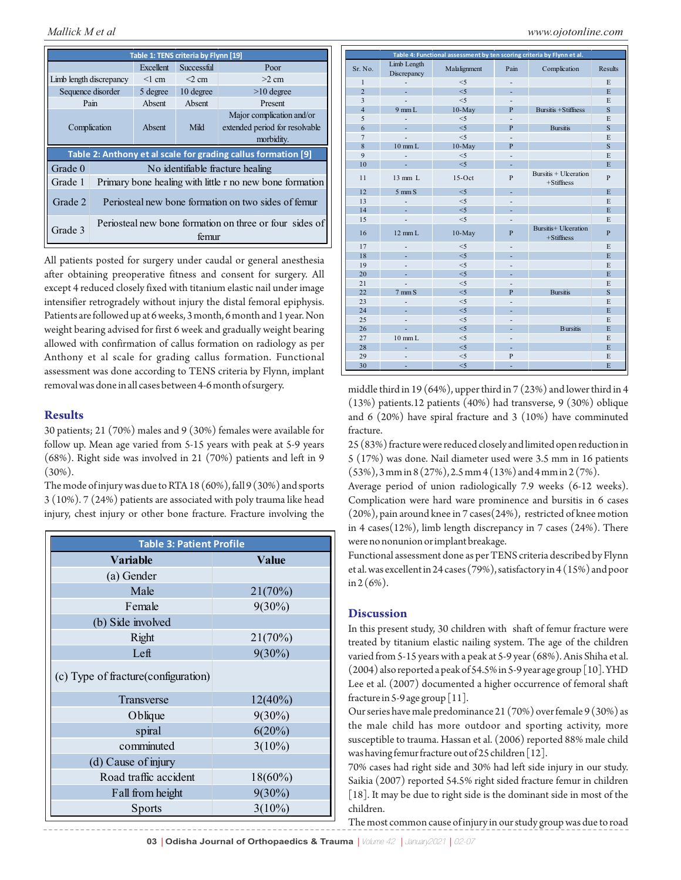| Table 1: TENS criteria by Flynn [19]                          |                                                                  |           |            |                                                                           |
|---------------------------------------------------------------|------------------------------------------------------------------|-----------|------------|---------------------------------------------------------------------------|
|                                                               |                                                                  | Excellent | Successful | Poor                                                                      |
| Limb length discrepancy                                       |                                                                  | $<1$ cm   | $<$ 2 cm   | $>2$ cm                                                                   |
| Sequence disorder                                             |                                                                  | 5 degree  | 10 degree  | $>10$ degree                                                              |
| Pain                                                          |                                                                  | Absent    | Absent     | Present                                                                   |
| Complication                                                  |                                                                  | Absent    | Mild       | Major complication and/or<br>extended period for resolvable<br>morbidity. |
| Table 2: Anthony et al scale for grading callus formation [9] |                                                                  |           |            |                                                                           |
| Grade 0                                                       | No identifiable fracture healing                                 |           |            |                                                                           |
| Grade 1                                                       | Primary bone healing with little r no new bone formation         |           |            |                                                                           |
| Grade 2                                                       | Periosteal new bone formation on two sides of femur              |           |            |                                                                           |
| Grade 3                                                       | Periosteal new bone formation on three or four sides of<br>temur |           |            |                                                                           |

All patients posted for surgery under caudal or general anesthesia after obtaining preoperative fitness and consent for surgery. All except 4 reduced closely fixed with titanium elastic nail under image intensifier retrogradely without injury the distal femoral epiphysis. Patients are followed up at 6 weeks, 3 month, 6 month and 1 year. Non weight bearing advised for first 6 week and gradually weight bearing allowed with confirmation of callus formation on radiology as per Anthony et al scale for grading callus formation. Functional assessment was done according to TENS criteria by Flynn, implant removal was done in all cases between 4-6 month of surgery.

### **Results**

30 patients; 21 (70%) males and 9 (30%) females were available for follow up. Mean age varied from 5-15 years with peak at 5-9 years (68%). Right side was involved in 21 (70%) patients and left in 9 (30%).

The mode of injury was due to RTA  $18 (60\%)$ , fall  $9 (30\%)$  and sports 3 (10%). 7 (24%) patients are associated with poly trauma like head injury, chest injury or other bone fracture. Fracture involving the

| <b>Table 3: Patient Profile</b>      |              |  |  |  |
|--------------------------------------|--------------|--|--|--|
| <b>Variable</b>                      | <b>Value</b> |  |  |  |
| (a) Gender                           |              |  |  |  |
| Male                                 | 21(70%)      |  |  |  |
| Female                               | $9(30\%)$    |  |  |  |
| (b) Side involved                    |              |  |  |  |
| Right                                | 21(70%)      |  |  |  |
| Left                                 | $9(30\%)$    |  |  |  |
| (c) Type of fracture (configuration) |              |  |  |  |
| Transverse                           | $12(40\%)$   |  |  |  |
| Oblique                              | $9(30\%)$    |  |  |  |
| spiral                               | 6(20%)       |  |  |  |
| comminuted                           | $3(10\%)$    |  |  |  |
| (d) Cause of injury                  |              |  |  |  |
| Road traffic accident                | $18(60\%)$   |  |  |  |
| Fall from height                     | $9(30\%)$    |  |  |  |
| Sports                               | $3(10\%)$    |  |  |  |

| Table 4: Functional assessment by ten scoring criteria by Flynn et al. |                            |              |                          |                                       |                         |
|------------------------------------------------------------------------|----------------------------|--------------|--------------------------|---------------------------------------|-------------------------|
| Sr. No.                                                                | Limb Length<br>Discrepancy | Malalignment | Pain                     | Complication                          | <b>Results</b>          |
| $\mathbf{1}$                                                           | $\overline{a}$             | $<$ 5        | ÷,                       |                                       | E                       |
| $\overline{2}$                                                         | L.                         | $<$ 5        | ÷.                       |                                       | E                       |
| $\overline{\mathbf{3}}$                                                |                            | $<$ 5        | ٠                        |                                       | E                       |
| $\overline{4}$                                                         | $9$ mm $L$                 | $10-May$     | P                        | <b>Bursitis +Stiffness</b>            | S                       |
| 5                                                                      |                            | $<$ 5        | $\overline{a}$           |                                       | E                       |
| 6                                                                      |                            | $\leq 5$     | P                        | <b>Bursitis</b>                       | $\overline{\mathbf{s}}$ |
| $\overline{7}$                                                         |                            | $<$ 5        | $\overline{a}$           |                                       | E                       |
| $\overline{8}$                                                         | $10 \text{ mm L}$          | $10-May$     | P                        |                                       | S                       |
| $\mathbf{Q}$                                                           | ÷,                         | $<$ 5        | $\overline{a}$           |                                       | E                       |
| 10                                                                     | ÷.                         | $<$ 5        | ÷.                       |                                       | E                       |
| 11                                                                     | $13$ mm $L$                | $15-Oct$     | P                        | Bursitis + Ulceration<br>$+Stiffness$ | $\mathbf{P}$            |
| 12                                                                     | $5 \text{ mm}$ S           | < 5          | L.                       |                                       | E                       |
| 13                                                                     |                            | $<$ 5        |                          |                                       | E                       |
| 14                                                                     | ÷.                         | $\leq 5$     | L.                       |                                       | E                       |
| 15                                                                     |                            | < 5          |                          |                                       | E                       |
| 16                                                                     | $12 \text{ mm L}$          | $10-May$     | $\overline{P}$           | Bursitis+ Ulceration<br>$+Stiffness$  | P                       |
| 17                                                                     | $\overline{\phantom{a}}$   | $<$ 5        | $\overline{\phantom{0}}$ |                                       | E                       |
| 18                                                                     | ÷.                         | $\leq 5$     | ÷,                       |                                       | E                       |
| 19                                                                     | ÷,                         | $<$ 5        | $\overline{\phantom{a}}$ |                                       | E                       |
| 20                                                                     | ä,                         | $\leq$ 5     | ÷.                       |                                       | E                       |
| 21                                                                     | L.                         | $<$ 5        | $\overline{a}$           |                                       | E                       |
| 22                                                                     | $7 \text{ mm}$ S           | $\leq$ 5     | P                        | <b>Bursitis</b>                       | S                       |
| 23                                                                     |                            | < 5          |                          |                                       | E                       |
| 24                                                                     | u.                         | $\leq 5$     |                          |                                       | E                       |
| 25                                                                     |                            | $<$ 5        | $\overline{\phantom{a}}$ |                                       | E                       |
| 26                                                                     |                            | $<$ 5        | L.                       | <b>Bursitis</b>                       | E                       |
| 27                                                                     | $10 \text{ mm L}$          | $<$ 5        |                          |                                       | E                       |
| 28                                                                     | ä,                         | < 5          | ٠                        |                                       | E                       |
| 29                                                                     |                            | < 5          | P                        |                                       | E                       |
| 30                                                                     | ۰                          | $<$ 5        |                          |                                       | E                       |

middle third in 19 (64%), upper third in 7 (23%) and lower third in 4 (13%) patients.12 patients (40%) had transverse, 9 (30%) oblique and 6 (20%) have spiral fracture and 3 (10%) have comminuted fracture.

25 (83%) fracture were reduced closely and limited open reduction in 5 (17%) was done. Nail diameter used were 3.5 mm in 16 patients (53%), 3 mm in 8 (27%), 2.5 mm 4 (13%) and 4 mm in 2 (7%).

Average period of union radiologically 7.9 weeks (6-12 weeks). Complication were hard ware prominence and bursitis in 6 cases (20%), pain around knee in 7 cases(24%), restricted of knee motion in 4 cases(12%), limb length discrepancy in 7 cases (24%). There were no nonunion or implant breakage.

Functional assessment done as per TENS criteria described by Flynn et al. was excellent in 24 cases (79%), satisfactory in 4 (15%) and poor in  $2(6%)$ .

#### **Discussion**

In this present study, 30 children with shaft of femur fracture were treated by titanium elastic nailing system. The age of the children varied from 5-15 years with a peak at 5-9 year (68%). Anis Shiha et al. (2004) also reported a peak of 54.5% in 5-9 year age group [10]. YHD Lee et al. (2007) documented a higher occurrence of femoral shaft fracture in 5-9 age group  $\lceil 11 \rceil$ .

Our series have male predominance 21 (70%) over female 9 (30%) as the male child has more outdoor and sporting activity, more susceptible to trauma. Hassan et al. (2006) reported 88% male child was having femur fracture out of 25 children  $[12]$ .

70% cases had right side and 30% had left side injury in our study. Saikia (2007) reported 54.5% right sided fracture femur in children [18]. It may be due to right side is the dominant side in most of the children.

The most common cause of injury in our study group was due to road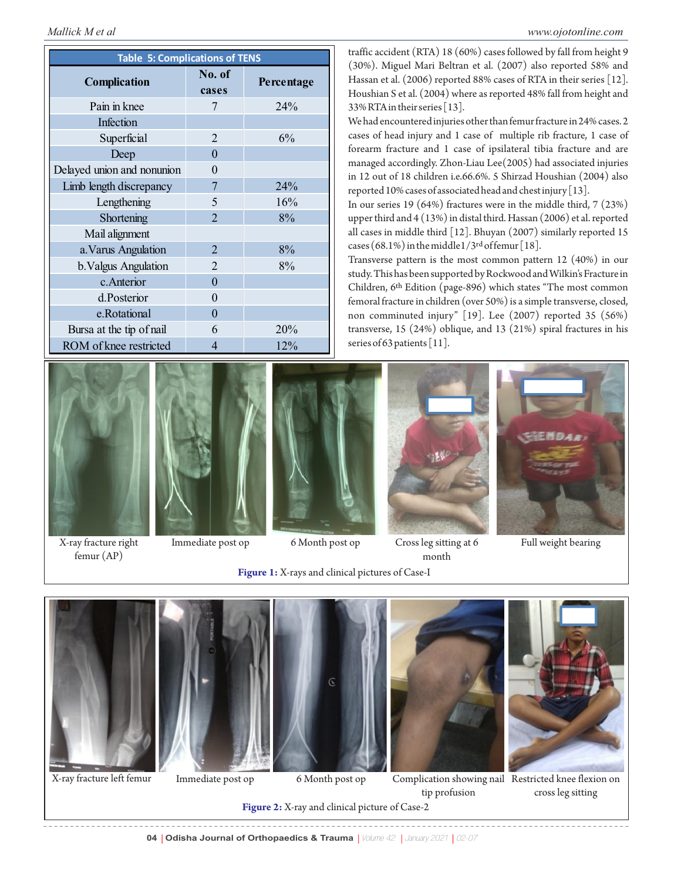| <b>Table 5: Complications of TENS</b> |                 |            |  |  |  |
|---------------------------------------|-----------------|------------|--|--|--|
| Complication                          | No. of<br>cases | Percentage |  |  |  |
| Pain in knee                          | 7               | 24%        |  |  |  |
| Infection                             |                 |            |  |  |  |
| Superficial                           | $\overline{2}$  | 6%         |  |  |  |
| Deep                                  | $\theta$        |            |  |  |  |
| Delayed union and nonunion            | 0               |            |  |  |  |
| Limb length discrepancy               | 7               | 24%        |  |  |  |
| Lengthening                           | 5               | 16%        |  |  |  |
| Shortening                            | $\overline{2}$  | 8%         |  |  |  |
| Mail alignment                        |                 |            |  |  |  |
| a. Varus Angulation                   | $\overline{2}$  | 8%         |  |  |  |
| b. Valgus Angulation                  | $\overline{2}$  | 8%         |  |  |  |
| c.Anterior                            | $\theta$        |            |  |  |  |
| d.Posterior                           | 0               |            |  |  |  |
| e.Rotational                          | $\Omega$        |            |  |  |  |
| Bursa at the tip of nail              | 6               | 20%        |  |  |  |
| ROM of knee restricted                | 4               | 12%        |  |  |  |





X-ray fracture right femur (AP)



Immediate post op



**Figure 1:** X-rays and clinical pictures of Case-I 6 Month post op Cross leg sitting at 6 month

*Mallick M et al www.ojotonline.com*

traffic accident (RTA) 18 (60%) cases followed by fall from height 9 (30%). Miguel Mari Beltran et al. (2007) also reported 58% and Hassan et al. (2006) reported 88% cases of RTA in their series [12]. Houshian S et al. (2004) where as reported 48% fall from height and 33% RTA in their series [13].

We had encountered injuries other than femur fracture in 24% cases. 2 cases of head injury and 1 case of multiple rib fracture, 1 case of forearm fracture and 1 case of ipsilateral tibia fracture and are managed accordingly. Zhon-Liau Lee(2005) had associated injuries in 12 out of 18 children i.e.66.6%. 5 Shirzad Houshian (2004) also reported 10% cases of associated head and chest injury [13].

In our series 19 (64%) fractures were in the middle third, 7 (23%) upper third and 4 (13%) in distal third. Hassan (2006) et al. reported all cases in middle third [12]. Bhuyan (2007) similarly reported 15 cases (68.1%) in the middle  $1/3^{rd}$  of femur [18].

Transverse pattern is the most common pattern 12 (40%) in our study. This has been supported by Rockwood and Wilkin's Fracture in Children, 6<sup>th</sup> Edition (page-896) which states "The most common femoral fracture in children (over 50%) is a simple transverse, closed, non comminuted injury" [19]. Lee (2007) reported 35 (56%) transverse, 15 (24%) oblique, and 13 (21%) spiral fractures in his series of 63 patients [11].



Full weight bearing



X-ray fracture left femur Immediate post op





tip profusion



6 Month post op Complication showing nail Restricted knee flexion on cross leg sitting

**Figure 2:** X-ray and clinical picture of Case-2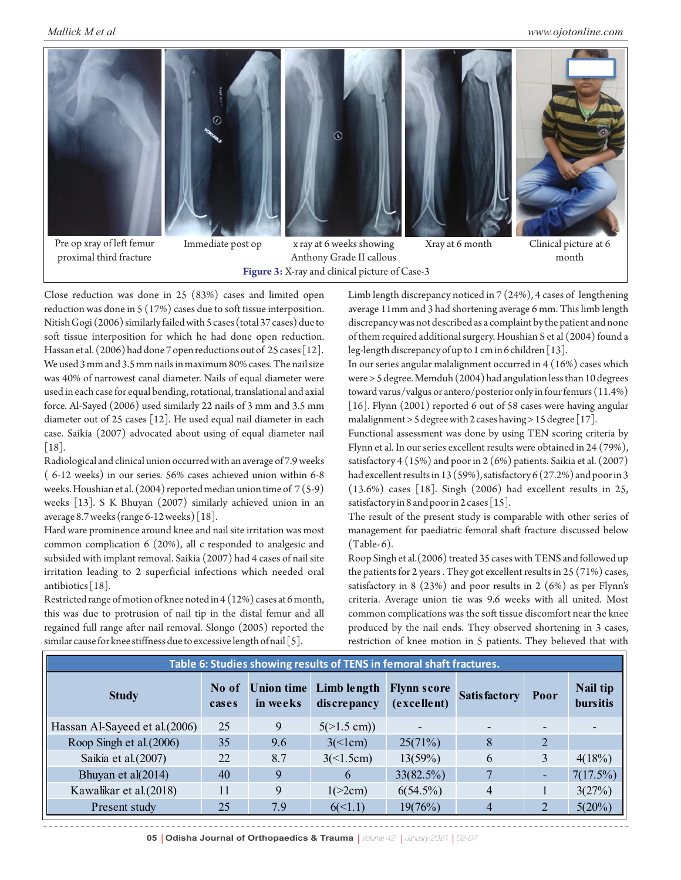

Pre op xray of left femur proximal third fracture

Immediate post op

**Figure 3:** X-ray and clinical picture of Case-3 x ray at 6 weeks showing Anthony Grade II callous



Close reduction was done in 25 (83%) cases and limited open reduction was done in 5 (17%) cases due to soft tissue interposition. Nitish Gogi (2006) similarly failed with 5 cases (total 37 cases) due to soft tissue interposition for which he had done open reduction. Hassan et al. (2006) had done 7 open reductions out of 25 cases [12]. We used 3 mm and 3.5 mm nails in maximum 80% cases. The nail size was 40% of narrowest canal diameter. Nails of equal diameter were used in each case for equal bending, rotational, translational and axial force. Al-Sayed (2006) used similarly 22 nails of 3 mm and 3.5 mm diameter out of 25 cases [12]. He used equal nail diameter in each case. Saikia (2007) advocated about using of equal diameter nail [18].

Radiological and clinical union occurred with an average of 7.9 weeks ( 6-12 weeks) in our series. 56% cases achieved union within 6-8 weeks. Houshian et al. (2004) reported median union time of 7 (5-9) weeks [13]. S K Bhuyan (2007) similarly achieved union in an average 8.7 weeks (range 6-12 weeks) [18].

Hard ware prominence around knee and nail site irritation was most common complication 6 (20%), all c responded to analgesic and subsided with implant removal. Saikia (2007) had 4 cases of nail site irritation leading to 2 superficial infections which needed oral antibiotics [18].

Restricted range of motion of knee noted in 4 (12%) cases at 6 month, this was due to protrusion of nail tip in the distal femur and all regained full range after nail removal. Slongo (2005) reported the similar cause for knee stiffness due to excessive length of nail [5].

Limb length discrepancy noticed in 7 (24%), 4 cases of lengthening average 11mm and 3 had shortening average 6 mm. This limb length discrepancy was not described as a complaint by the patient and none of them required additional surgery. Houshian S et al (2004) found a leg-length discrepancy of up to 1 cm in 6 children [13].

In our series angular malalignment occurred in  $4(16%)$  cases which were > 5 degree. Memduh (2004) had angulation less than 10 degrees toward varus/valgus or antero/posterior only in four femurs (11.4%) [16]. Flynn (2001) reported 6 out of 58 cases were having angular malalignment > 5 degree with 2 cases having > 15 degree [17].

Functional assessment was done by using TEN scoring criteria by Flynn et al. In our series excellent results were obtained in 24 (79%), satisfactory 4 (15%) and poor in 2 (6%) patients. Saikia et al. (2007) had excellent results in 13 (59%), satisfactory 6 (27.2%) and poor in 3 (13.6%) cases [18]. Singh (2006) had excellent results in 25, satisfactory in 8 and poor in 2 cases [15].

The result of the present study is comparable with other series of management for paediatric femoral shaft fracture discussed below  $(Table-6).$ 

Roop Singh et al.(2006) treated 35 cases with TENS and followed up the patients for 2 years . They got excellent results in 25 (71%) cases, satisfactory in 8 (23%) and poor results in 2 (6%) as per Flynn's criteria. Average union tie was 9.6 weeks with all united. Most common complications was the soft tissue discomfort near the knee produced by the nail ends. They observed shortening in 3 cases, restriction of knee motion in 5 patients. They believed that with

| Table 6: Studies showing results of TENS in femoral shaft fractures. |                |                               |                            |                                   |                     |                          |                             |
|----------------------------------------------------------------------|----------------|-------------------------------|----------------------------|-----------------------------------|---------------------|--------------------------|-----------------------------|
| <b>Study</b>                                                         | No of<br>cases | <b>Union time</b><br>in weeks | Limb length<br>discrepancy | <b>Flynn score</b><br>(excellent) | <b>Satisfactory</b> | Poor                     | Nail tip<br><b>bursitis</b> |
| Hassan Al-Sayeed et al.(2006)                                        | 25             | 9                             | $5(>1.5$ cm))              |                                   |                     |                          |                             |
| Roop Singh et al. (2006)                                             | 35             | 9.6                           | 3<1cm                      | 25(71%)                           | 8                   | 2                        |                             |
| Saikia et al.(2007)                                                  | 22             | 8.7                           | 3(<1.5cm)                  | 13(59%)                           | 6                   | 3                        | 4(18%)                      |
| Bhuyan et al(2014)                                                   | 40             | 9                             | $\mathbf{6}$               | 33(82.5%)                         |                     | $\overline{\phantom{a}}$ | $7(17.5\%)$                 |
| Kawalikar et al. (2018)                                              | 11             | 9                             | 1(>2cm)                    | $6(54.5\%)$                       | 4                   | 1                        | 3(27%)                      |
| Present study                                                        | 25             | 7.9                           | $6(\le 1.1)$               | 19(76%)                           |                     | 2                        | $5(20\%)$                   |

**05 | Odisha Journal of Orthopaedics & Trauma | Volume 42 | January 2021 | 02-07**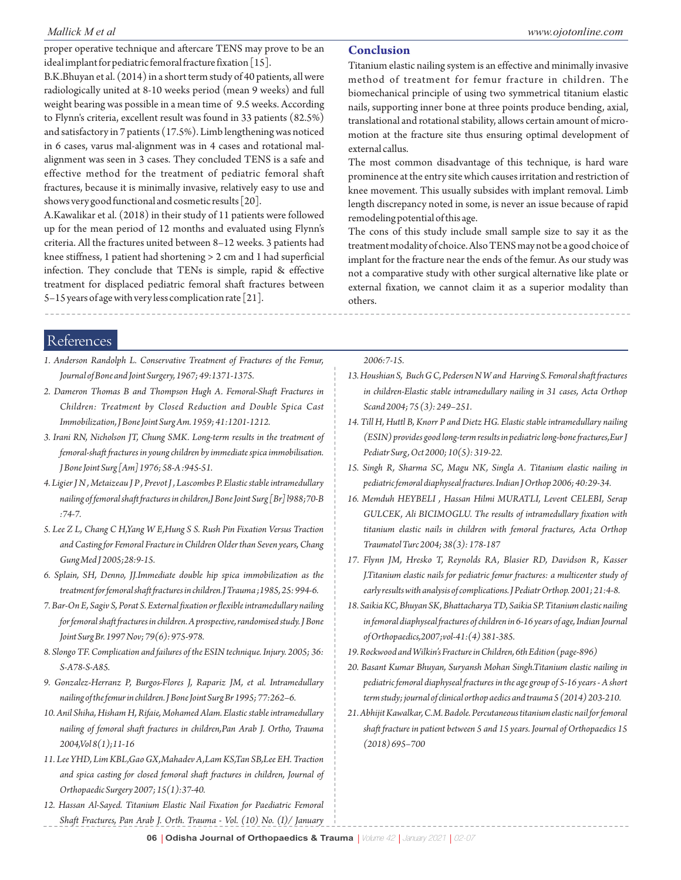proper operative technique and aftercare TENS may prove to be an ideal implant for pediatric femoral fracture fixation [15].

B.K.Bhuyan et al. (2014) in a short term study of 40 patients, all were radiologically united at 8-10 weeks period (mean 9 weeks) and full weight bearing was possible in a mean time of 9.5 weeks. According to Flynn's criteria, excellent result was found in 33 patients (82.5%) and satisfactory in 7 patients (17.5%). Limb lengthening was noticed in 6 cases, varus mal-alignment was in 4 cases and rotational malalignment was seen in 3 cases. They concluded TENS is a safe and effective method for the treatment of pediatric femoral shaft fractures, because it is minimally invasive, relatively easy to use and shows very good functional and cosmetic results [20].

A.Kawalikar et al. (2018) in their study of 11 patients were followed up for the mean period of 12 months and evaluated using Flynn's criteria. All the fractures united between 8–12 weeks. 3 patients had knee stiffness, 1 patient had shortening > 2 cm and 1 had superficial infection. They conclude that TENs is simple, rapid & effective treatment for displaced pediatric femoral shaft fractures between 5–15 years of age with very less complication rate [21].

#### **Conclusion**

Titanium elastic nailing system is an effective and minimally invasive method of treatment for femur fracture in children. The biomechanical principle of using two symmetrical titanium elastic nails, supporting inner bone at three points produce bending, axial, translational and rotational stability, allows certain amount of micromotion at the fracture site thus ensuring optimal development of external callus.

The most common disadvantage of this technique, is hard ware prominence at the entry site which causes irritation and restriction of knee movement. This usually subsides with implant removal. Limb length discrepancy noted in some, is never an issue because of rapid remodeling potential of this age.

The cons of this study include small sample size to say it as the treatment modality of choice. Also TENS may not be a good choice of implant for the fracture near the ends of the femur. As our study was not a comparative study with other surgical alternative like plate or external fixation, we cannot claim it as a superior modality than others.

References

- *1. Anderson Randolph L. Conservative Treatment of Fractures of the Femur, Journal of Bone and Joint Surgery, 1967; 49:1371-1375.*
- *2. Dameron Thomas B and Thompson Hugh A. Femoral-Shaft Fractures in Children: Treatment by Closed Reduction and Double Spica Cast Immobilization, J Bone Joint Surg Am. 1959; 41:1201-1212.*
- *3. Irani RN, Nicholson JT, Chung SMK. Long-term results in the treatment of femoral-shaft fractures in young children by immediate spica immobilisation. J Bone Joint Surg [Am] 1976; 58-A :945-51.*
- *4. Ligier J N , Metaizeau J P , Prevot J , Lascombes P. Elastic stable intramedullary nailing of femoral shaft fractures in children,J Bone Joint Surg [Br] l988;70-B :74-7.*
- *5. Lee Z L, Chang C H,Yang W E,Hung S S. Rush Pin Fixation Versus Traction and Casting for Femoral Fracture in Children Older than Seven years, Chang Gung Med J 2005;28:9-15.*
- *6. Splain, SH, Denno, JJ.Immediate double hip spica immobilization as the treatment for femoral shaft fractures in children.J Trauma ;1985, 25: 994-6.*
- *7. Bar-On E, Sagiv S, Porat S. External fixation or flexible intramedullary nailing for femoral shaft fractures in children. A prospective, randomised study. J Bone Joint Surg Br. 1997 Nov; 79(6): 975-978.*
- *8. Slongo TF. Complication and failures of the ESIN technique. Injury. 2005; 36: S-A78-S-A85.*
- *9. Gonzalez-Herranz P, Burgos-Flores J, Rapariz JM, et al. Intramedullary nailing of the femur in children. J Bone Joint Surg Br 1995; 77:262–6.*
- *10. Anil Shiha, Hisham H, Rifaie, Mohamed Alam. Elastic stable intramedullary nailing of femoral shaft fractures in children,Pan Arab J. Ortho, Trauma 2004,Vol 8(1);11-16*
- *11. Lee YHD, Lim KBL,Gao GX,Mahadev A,Lam KS,Tan SB,Lee EH. Traction and spica casting for closed femoral shaft fractures in children, Journal of Orthopaedic Surgery 2007; 15(1):37-40.*
- *12. Hassan Al-Sayed. Titanium Elastic Nail Fixation for Paediatric Femoral Shaft Fractures, Pan Arab J. Orth. Trauma - Vol. (10) No. (I)/ January*

*2006:7-15.* 

- *13. Houshian S, Buch G C, Pedersen N W and Harving S. Femoral shaft fractures in children-Elastic stable intramedullary nailing in 31 cases, Acta Orthop Scand 2004; 75 (3): 249–251.*
- *14. Till H, Huttl B, Knorr P and Dietz HG. Elastic stable intramedullary nailing (ESIN) provides good long-term results in pediatric long-bone fractures,Eur J Pediatr Surg, Oct 2000; 10(5): 319-22.*
- *15. Singh R, Sharma SC, Magu NK, Singla A. Titanium elastic nailing in pediatric femoral diaphyseal fractures. Indian J Orthop 2006; 40:29-34.*
- *16. Memduh HEYBELI , Hassan Hilmi MURATLI, Levent CELEBI, Serap GULCEK, Ali BICIMOGLU. The results of intramedullary fixation with titanium elastic nails in children with femoral fractures, Acta Orthop Traumatol Turc 2004; 38(3): 178-187*
- *17. Flynn JM, Hresko T, Reynolds RA, Blasier RD, Davidson R, Kasser J.Titanium elastic nails for pediatric femur fractures: a multicenter study of early results with analysis of complications. J Pediatr Orthop. 2001; 21:4-8.*
- *18. Saikia KC, Bhuyan SK, Bhattacharya TD, Saikia SP. Titanium elastic nailing in femoral diaphyseal fractures of children in 6-16 years of age, Indian Journal of Orthopaedics,2007;vol-41:(4) 381-385.*
- *19. Rockwood and Wilkin's Fracture in Children, 6th Edition (page-896)*
- *20. Basant Kumar Bhuyan, Suryansh Mohan Singh.Titanium elastic nailing in pediatric femoral diaphyseal fractures in the age group of 5-16 years - A short term study; journal of clinical orthop aedics and trauma 5 (2014) 203-210.*
- *21. Abhijit Kawalkar, C.M. Badole. Percutaneous titanium elastic nail for femoral shaft fracture in patient between 5 and 15 years. Journal of Orthopaedics 15 (2018) 695–700*